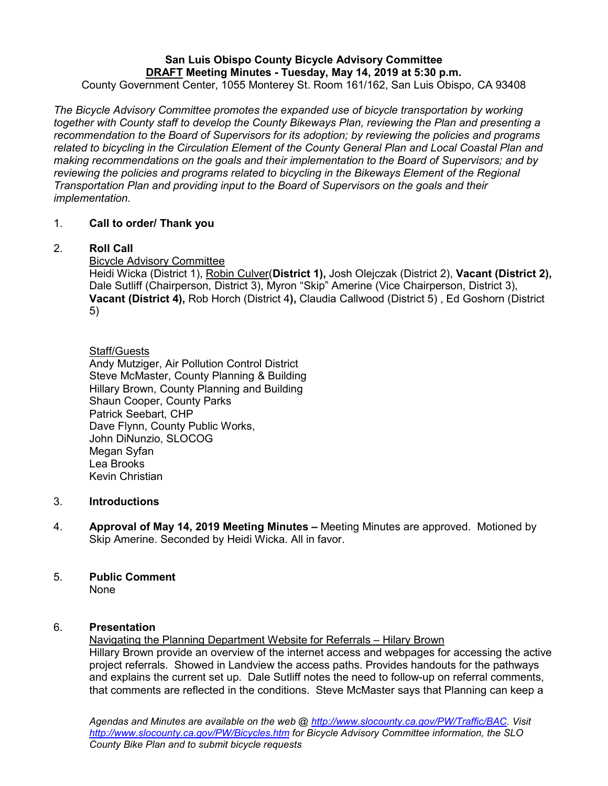# **San Luis Obispo County Bicycle Advisory Committee DRAFT Meeting Minutes - Tuesday, May 14, 2019 at 5:30 p.m.**

County Government Center, 1055 Monterey St. Room 161/162, San Luis Obispo, CA 93408

*The Bicycle Advisory Committee promotes the expanded use of bicycle transportation by working together with County staff to develop the County Bikeways Plan, reviewing the Plan and presenting a recommendation to the Board of Supervisors for its adoption; by reviewing the policies and programs related to bicycling in the Circulation Element of the County General Plan and Local Coastal Plan and making recommendations on the goals and their implementation to the Board of Supervisors; and by reviewing the policies and programs related to bicycling in the Bikeways Element of the Regional Transportation Plan and providing input to the Board of Supervisors on the goals and their implementation.*

# 1. **Call to order/ Thank you**

# 2. **Roll Call**

Bicycle Advisory Committee

Heidi Wicka (District 1), Robin Culver(**District 1),** Josh Olejczak (District 2), **Vacant (District 2),** Dale Sutliff (Chairperson, District 3), Myron "Skip" Amerine (Vice Chairperson, District 3), **Vacant (District 4),** Rob Horch (District 4**),** Claudia Callwood (District 5) , Ed Goshorn (District 5)

# **Staff/Guests**

Andy Mutziger, Air Pollution Control District Steve McMaster, County Planning & Building Hillary Brown, County Planning and Building Shaun Cooper, County Parks Patrick Seebart, CHP Dave Flynn, County Public Works, John DiNunzio, SLOCOG Megan Syfan Lea Brooks Kevin Christian

# 3. **Introductions**

4. **Approval of May 14, 2019 Meeting Minutes –** Meeting Minutes are approved. Motioned by Skip Amerine. Seconded by Heidi Wicka. All in favor.

# 5. **Public Comment**

None

# 6. **Presentation**

Navigating the Planning Department Website for Referrals – Hilary Brown Hillary Brown provide an overview of the internet access and webpages for accessing the active project referrals. Showed in Landview the access paths. Provides handouts for the pathways and explains the current set up. Dale Sutliff notes the need to follow-up on referral comments, that comments are reflected in the conditions. Steve McMaster says that Planning can keep a

*Agendas and Minutes are available on the web @ [http://www.slocounty.ca.gov/PW/Traffic/BAC.](http://www.slocounty.ca.gov/PW/Traffic/BAC) Visit <http://www.slocounty.ca.gov/PW/Bicycles.htm> for Bicycle Advisory Committee information, the SLO County Bike Plan and to submit bicycle requests*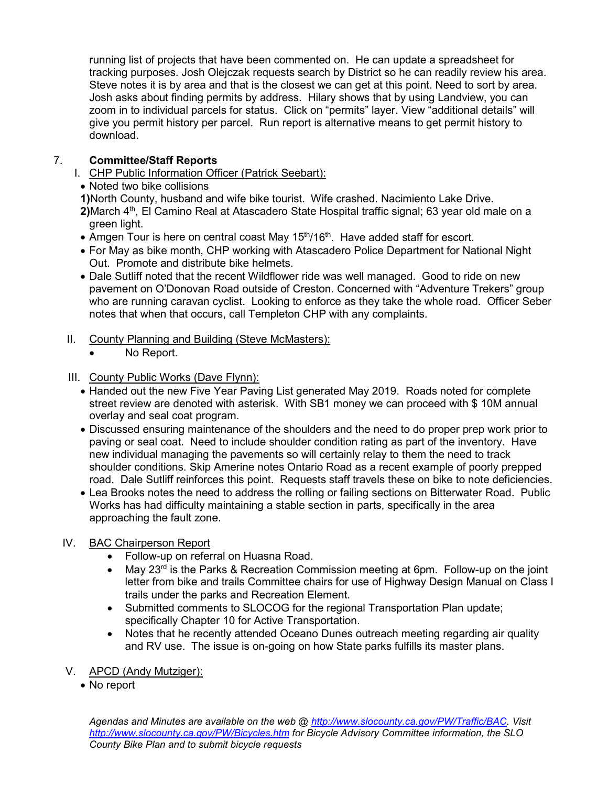running list of projects that have been commented on. He can update a spreadsheet for tracking purposes. Josh Olejczak requests search by District so he can readily review his area. Steve notes it is by area and that is the closest we can get at this point. Need to sort by area. Josh asks about finding permits by address. Hilary shows that by using Landview, you can zoom in to individual parcels for status. Click on "permits" layer. View "additional details" will give you permit history per parcel. Run report is alternative means to get permit history to download.

# 7. **Committee/Staff Reports**

- I. CHP Public Information Officer (Patrick Seebart):
	- Noted two bike collisions

**1)**North County, husband and wife bike tourist. Wife crashed. Nacimiento Lake Drive.

- 2) March 4<sup>th</sup>, El Camino Real at Atascadero State Hospital traffic signal; 63 year old male on a green light.
- Amgen Tour is here on central coast May  $15<sup>th</sup>/16<sup>th</sup>$ . Have added staff for escort.
- For May as bike month, CHP working with Atascadero Police Department for National Night Out. Promote and distribute bike helmets.
- Dale Sutliff noted that the recent Wildflower ride was well managed. Good to ride on new pavement on O'Donovan Road outside of Creston. Concerned with "Adventure Trekers" group who are running caravan cyclist. Looking to enforce as they take the whole road. Officer Seber notes that when that occurs, call Templeton CHP with any complaints.
- II. County Planning and Building (Steve McMasters):
	- No Report.
- III. County Public Works (Dave Flynn):
	- Handed out the new Five Year Paving List generated May 2019. Roads noted for complete street review are denoted with asterisk. With SB1 money we can proceed with \$ 10M annual overlay and seal coat program.
	- Discussed ensuring maintenance of the shoulders and the need to do proper prep work prior to paving or seal coat. Need to include shoulder condition rating as part of the inventory. Have new individual managing the pavements so will certainly relay to them the need to track shoulder conditions. Skip Amerine notes Ontario Road as a recent example of poorly prepped road. Dale Sutliff reinforces this point. Requests staff travels these on bike to note deficiencies.
	- Lea Brooks notes the need to address the rolling or failing sections on Bitterwater Road. Public Works has had difficulty maintaining a stable section in parts, specifically in the area approaching the fault zone.

# IV. BAC Chairperson Report

- Follow-up on referral on Huasna Road.
- May 23<sup>rd</sup> is the Parks & Recreation Commission meeting at 6pm. Follow-up on the joint letter from bike and trails Committee chairs for use of Highway Design Manual on Class I trails under the parks and Recreation Element.
- Submitted comments to SLOCOG for the regional Transportation Plan update; specifically Chapter 10 for Active Transportation.
- Notes that he recently attended Oceano Dunes outreach meeting regarding air quality and RV use. The issue is on-going on how State parks fulfills its master plans.
- V. APCD (Andy Mutziger):
	- No report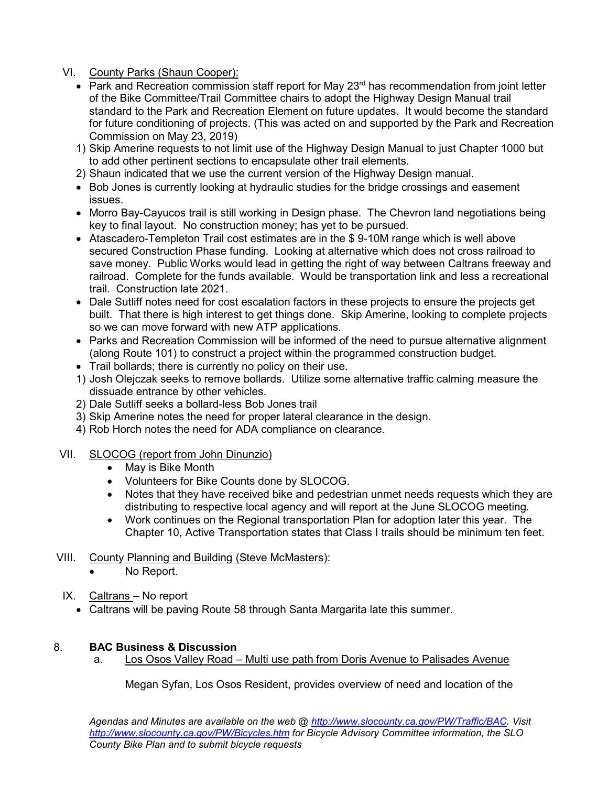- VI. County Parks (Shaun Cooper):
	- Park and Recreation commission staff report for May 23<sup>rd</sup> has recommendation from joint letter of the Bike Committee/Trail Committee chairs to adopt the Highway Design Manual trail standard to the Park and Recreation Element on future updates. It would become the standard for future conditioning of projects. (This was acted on and supported by the Park and Recreation Commission on May 23, 2019)
	- 1) Skip Amerine requests to not limit use of the Highway Design Manual to just Chapter 1000 but to add other pertinent sections to encapsulate other trail elements.
	- 2) Shaun indicated that we use the current version of the Highway Design manual.
	- Bob Jones is currently looking at hydraulic studies for the bridge crossings and easement issues.
	- Morro Bay-Cayucos trail is still working in Design phase. The Chevron land negotiations being key to final layout. No construction money; has yet to be pursued.
	- Atascadero-Templeton Trail cost estimates are in the \$ 9-10M range which is well above secured Construction Phase funding. Looking at alternative which does not cross railroad to save money. Public Works would lead in getting the right of way between Caltrans freeway and railroad. Complete for the funds available. Would be transportation link and less a recreational trail. Construction late 2021.
	- Dale Sutliff notes need for cost escalation factors in these projects to ensure the projects get built. That there is high interest to get things done. Skip Amerine, looking to complete projects so we can move forward with new ATP applications.
	- Parks and Recreation Commission will be informed of the need to pursue alternative alignment (along Route 101) to construct a project within the programmed construction budget.
	- Trail bollards; there is currently no policy on their use.
	- 1) Josh Olejczak seeks to remove bollards. Utilize some alternative traffic calming measure the dissuade entrance by other vehicles.
	- 2) Dale Sutliff seeks a bollard-less Bob Jones trail
	- 3) Skip Amerine notes the need for proper lateral clearance in the design.
	- 4) Rob Horch notes the need for ADA compliance on clearance.
- VII. SLOCOG (report from John Dinunzio)
	- May is Bike Month
	- Volunteers for Bike Counts done by SLOCOG.
	- Notes that they have received bike and pedestrian unmet needs requests which they are distributing to respective local agency and will report at the June SLOCOG meeting.
	- Work continues on the Regional transportation Plan for adoption later this year. The Chapter 10, Active Transportation states that Class I trails should be minimum ten feet.

# VIII. County Planning and Building (Steve McMasters):

- No Report.
- IX. Caltrans No report
	- Caltrans will be paving Route 58 through Santa Margarita late this summer.

# 8. **BAC Business & Discussion**

a. Los Osos Valley Road – Multi use path from Doris Avenue to Palisades Avenue

Megan Syfan, Los Osos Resident, provides overview of need and location of the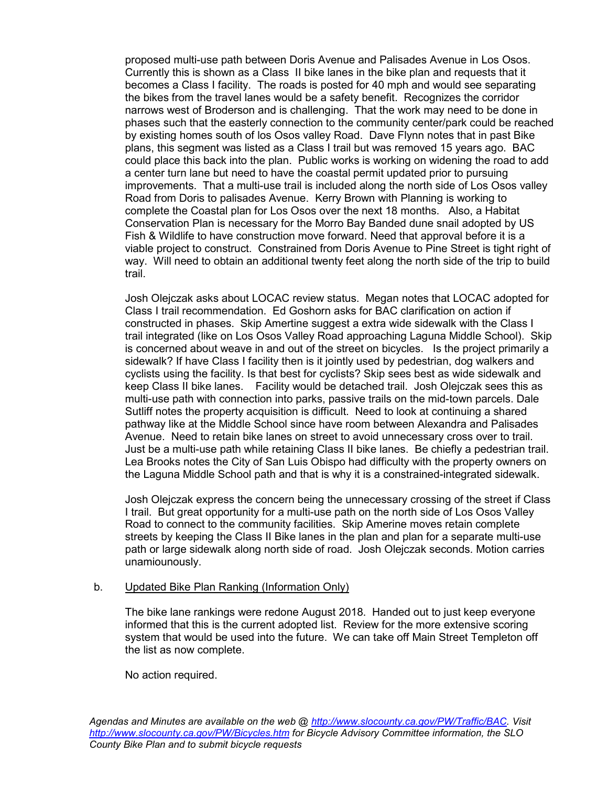proposed multi-use path between Doris Avenue and Palisades Avenue in Los Osos. Currently this is shown as a Class II bike lanes in the bike plan and requests that it becomes a Class I facility. The roads is posted for 40 mph and would see separating the bikes from the travel lanes would be a safety benefit. Recognizes the corridor narrows west of Broderson and is challenging. That the work may need to be done in phases such that the easterly connection to the community center/park could be reached by existing homes south of los Osos valley Road. Dave Flynn notes that in past Bike plans, this segment was listed as a Class I trail but was removed 15 years ago. BAC could place this back into the plan. Public works is working on widening the road to add a center turn lane but need to have the coastal permit updated prior to pursuing improvements. That a multi-use trail is included along the north side of Los Osos valley Road from Doris to palisades Avenue. Kerry Brown with Planning is working to complete the Coastal plan for Los Osos over the next 18 months. Also, a Habitat Conservation Plan is necessary for the Morro Bay Banded dune snail adopted by US Fish & Wildlife to have construction move forward. Need that approval before it is a viable project to construct. Constrained from Doris Avenue to Pine Street is tight right of way. Will need to obtain an additional twenty feet along the north side of the trip to build trail.

Josh Olejczak asks about LOCAC review status. Megan notes that LOCAC adopted for Class I trail recommendation. Ed Goshorn asks for BAC clarification on action if constructed in phases. Skip Amertine suggest a extra wide sidewalk with the Class I trail integrated (like on Los Osos Valley Road approaching Laguna Middle School). Skip is concerned about weave in and out of the street on bicycles. Is the project primarily a sidewalk? If have Class I facility then is it jointly used by pedestrian, dog walkers and cyclists using the facility. Is that best for cyclists? Skip sees best as wide sidewalk and keep Class II bike lanes. Facility would be detached trail. Josh Olejczak sees this as multi-use path with connection into parks, passive trails on the mid-town parcels. Dale Sutliff notes the property acquisition is difficult. Need to look at continuing a shared pathway like at the Middle School since have room between Alexandra and Palisades Avenue. Need to retain bike lanes on street to avoid unnecessary cross over to trail. Just be a multi-use path while retaining Class II bike lanes. Be chiefly a pedestrian trail. Lea Brooks notes the City of San Luis Obispo had difficulty with the property owners on the Laguna Middle School path and that is why it is a constrained-integrated sidewalk.

Josh Olejczak express the concern being the unnecessary crossing of the street if Class I trail. But great opportunity for a multi-use path on the north side of Los Osos Valley Road to connect to the community facilities. Skip Amerine moves retain complete streets by keeping the Class II Bike lanes in the plan and plan for a separate multi-use path or large sidewalk along north side of road. Josh Olejczak seconds. Motion carries unamiounously.

#### b. Updated Bike Plan Ranking (Information Only)

The bike lane rankings were redone August 2018. Handed out to just keep everyone informed that this is the current adopted list. Review for the more extensive scoring system that would be used into the future. We can take off Main Street Templeton off the list as now complete.

No action required.